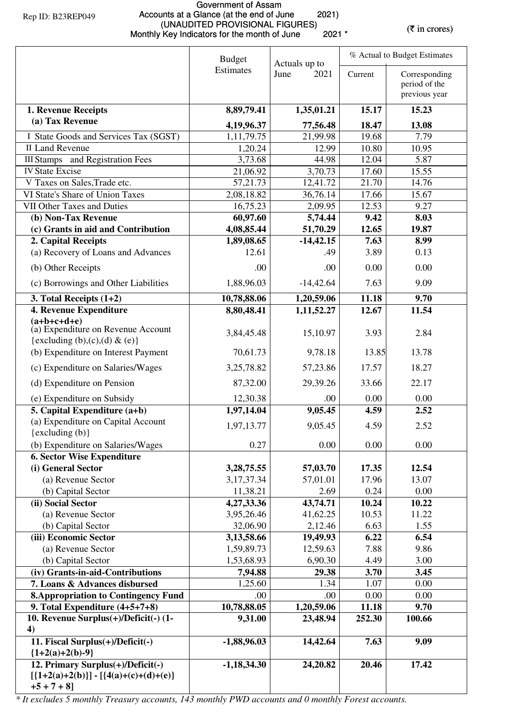## Government of Assam Accounts at a Glance (at the end of June 2021) (UNAUDITED PROVISIONAL FIGURES) (UNAUDITED PROVISIONAL FIGURES)<br>Monthly Key Indicators for the month of June 2021 \* (\* in crores)

|                                                                                           | <b>Budget</b><br>Actuals up to |                    | % Actual to Budget Estimates |                                                 |  |
|-------------------------------------------------------------------------------------------|--------------------------------|--------------------|------------------------------|-------------------------------------------------|--|
|                                                                                           | Estimates                      | June<br>2021       | Current                      | Corresponding<br>period of the<br>previous year |  |
| 1. Revenue Receipts                                                                       | 8,89,79.41                     | 1,35,01.21         | 15.17                        | 15.23                                           |  |
| (a) Tax Revenue                                                                           | 4,19,96.37                     | 77,56.48           | 18.47                        | 13.08                                           |  |
| I State Goods and Services Tax (SGST)                                                     | 1,11,79.75                     | 21,99.98           | 19.68                        | 7.79                                            |  |
| <b>II Land Revenue</b>                                                                    | 1,20.24                        | 12.99              | 10.80                        | 10.95                                           |  |
| <b>III Stamps</b> and Registration Fees                                                   | 3,73.68                        | 44.98              | 12.04                        | 5.87                                            |  |
| <b>IV State Excise</b>                                                                    | 21,06.92                       | 3,70.73            | 17.60                        | 15.55                                           |  |
| V Taxes on Sales, Trade etc.                                                              | 57, 21. 73                     | 12,41.72           | 21.70                        | 14.76                                           |  |
| VI State's Share of Union Taxes                                                           | 2,08,18.82                     | 36,76.14           | 17.66                        | 15.67                                           |  |
| VII Other Taxes and Duties                                                                | 16,75.23                       | 2,09.95            | 12.53                        | 9.27                                            |  |
| (b) Non-Tax Revenue                                                                       | 60,97.60                       | 5,74.44            | 9.42                         | 8.03                                            |  |
| (c) Grants in aid and Contribution                                                        | 4,08,85.44                     | 51,70.29           | 12.65                        | 19.87                                           |  |
| 2. Capital Receipts<br>(a) Recovery of Loans and Advances                                 | 1,89,08.65<br>12.61            | $-14,42.15$<br>.49 | 7.63<br>3.89                 | 8.99<br>0.13                                    |  |
| (b) Other Receipts                                                                        | .00                            | .00                | 0.00                         | 0.00                                            |  |
| (c) Borrowings and Other Liabilities                                                      | 1,88,96.03                     | $-14,42.64$        | 7.63                         | 9.09                                            |  |
| 3. Total Receipts $(1+2)$                                                                 | 10,78,88.06                    | 1,20,59.06         | 11.18                        | 9.70                                            |  |
| <b>4. Revenue Expenditure</b>                                                             | 8,80,48.41                     | 1,11,52.27         | 12.67                        | 11.54                                           |  |
| $(a+b+c+d+e)$<br>(a) Expenditure on Revenue Account                                       | 3,84,45.48                     | 15,10.97           | 3.93                         | 2.84                                            |  |
| {excluding (b),(c),(d) & (e)}<br>(b) Expenditure on Interest Payment                      | 70,61.73                       | 9,78.18            | 13.85                        | 13.78                                           |  |
| (c) Expenditure on Salaries/Wages                                                         | 3,25,78.82                     | 57,23.86           | 17.57                        | 18.27                                           |  |
|                                                                                           |                                |                    |                              |                                                 |  |
| (d) Expenditure on Pension                                                                | 87,32.00                       | 29,39.26           | 33.66                        | 22.17                                           |  |
| (e) Expenditure on Subsidy                                                                | 12,30.38                       | .00                | 0.00                         | 0.00                                            |  |
| 5. Capital Expenditure (a+b)<br>(a) Expenditure on Capital Account<br>$\{excluding (b)\}$ | 1,97,14.04<br>1,97,13.77       | 9,05.45<br>9,05.45 | 4.59<br>4.59                 | 2.52<br>2.52                                    |  |
| (b) Expenditure on Salaries/Wages                                                         | 0.27                           | 0.00               | 0.00                         | 0.00                                            |  |
| <b>6. Sector Wise Expenditure</b>                                                         |                                |                    |                              |                                                 |  |
| (i) General Sector                                                                        | 3, 28, 75. 55                  | 57,03.70           | 17.35                        | 12.54                                           |  |
| (a) Revenue Sector                                                                        | 3, 17, 37. 34                  | 57,01.01           | 17.96                        | 13.07                                           |  |
| (b) Capital Sector                                                                        | 11,38.21                       | 2.69               | 0.24                         | 0.00                                            |  |
| (ii) Social Sector                                                                        | 4,27,33.36                     | 43,74.71           | 10.24                        | 10.22                                           |  |
| (a) Revenue Sector                                                                        | 3,95,26.46                     | 41,62.25           | 10.53                        | 11.22                                           |  |
| (b) Capital Sector                                                                        | 32,06.90                       | 2,12.46            | 6.63                         | 1.55                                            |  |
| (iii) Economic Sector                                                                     | 3,13,58.66                     | 19,49.93           | 6.22                         | 6.54                                            |  |
| (a) Revenue Sector                                                                        | 1,59,89.73                     | 12,59.63           | 7.88                         | 9.86                                            |  |
| (b) Capital Sector                                                                        | 1,53,68.93                     | 6,90.30            | 4.49                         | 3.00                                            |  |
| (iv) Grants-in-aid-Contributions                                                          | 7,94.88                        | 29.38              | 3.70                         | 3.45                                            |  |
| 7. Loans & Advances disbursed                                                             | 1,25.60                        | 1.34               | 1.07                         | 0.00                                            |  |
| <b>8. Appropriation to Contingency Fund</b><br>9. Total Expenditure $(4+5+7+8)$           | .00<br>10,78,88.05             | .00<br>1,20,59.06  | 0.00<br>11.18                | 0.00<br>9.70                                    |  |
| 10. Revenue Surplus(+)/Deficit(-) (1-                                                     | 9,31.00                        | 23,48.94           | 252.30                       | 100.66                                          |  |
| 4)<br>11. Fiscal Surplus(+)/Deficit(-)                                                    | $-1,88,96.03$                  | 14,42.64           | 7.63                         | 9.09                                            |  |
| ${1+2(a)+2(b)-9}$<br>12. Primary Surplus(+)/Deficit(-)                                    | $-1,18,34.30$                  | 24,20.82           | 20.46                        | 17.42                                           |  |
| $[{1+2(a)+2(b)}] - [{4(a)+(c)+(d)+(e)}]$<br>$+5 + 7 + 8$ ]                                |                                |                    |                              |                                                 |  |

*\* It excludes 5 monthly Treasury accounts, 143 monthly PWD accounts and 0 monthly Forest accounts.*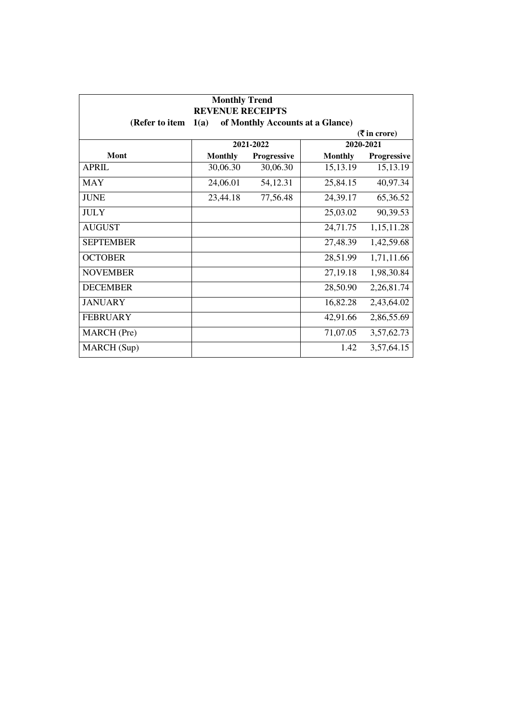| <b>Monthly Trend</b><br><b>REVENUE RECEIPTS</b><br>of Monthly Accounts at a Glance)<br>(Refer to item<br>1(a)<br>$(3\overline{5})$ in crore) |                |             |                |             |
|----------------------------------------------------------------------------------------------------------------------------------------------|----------------|-------------|----------------|-------------|
|                                                                                                                                              |                |             |                |             |
| Mont                                                                                                                                         | <b>Monthly</b> | Progressive | <b>Monthly</b> | Progressive |
| <b>APRIL</b>                                                                                                                                 | 30,06.30       | 30,06.30    | 15,13.19       | 15,13.19    |
| <b>MAY</b>                                                                                                                                   | 24,06.01       | 54,12.31    | 25,84.15       | 40,97.34    |
| <b>JUNE</b>                                                                                                                                  | 23,44.18       | 77,56.48    | 24,39.17       | 65,36.52    |
| <b>JULY</b>                                                                                                                                  |                |             | 25,03.02       | 90,39.53    |
| <b>AUGUST</b>                                                                                                                                |                |             | 24,71.75       | 1,15,11.28  |
| <b>SEPTEMBER</b>                                                                                                                             |                |             | 27,48.39       | 1,42,59.68  |
| <b>OCTOBER</b>                                                                                                                               |                |             | 28,51.99       | 1,71,11.66  |
| <b>NOVEMBER</b>                                                                                                                              |                |             | 27,19.18       | 1,98,30.84  |
| <b>DECEMBER</b>                                                                                                                              |                |             | 28,50.90       | 2,26,81.74  |
| <b>JANUARY</b>                                                                                                                               |                |             | 16,82.28       | 2,43,64.02  |
| <b>FEBRUARY</b>                                                                                                                              |                |             | 42,91.66       | 2,86,55.69  |
| MARCH (Pre)                                                                                                                                  |                |             | 71,07.05       | 3,57,62.73  |
| MARCH (Sup)                                                                                                                                  |                |             | 1.42           | 3,57,64.15  |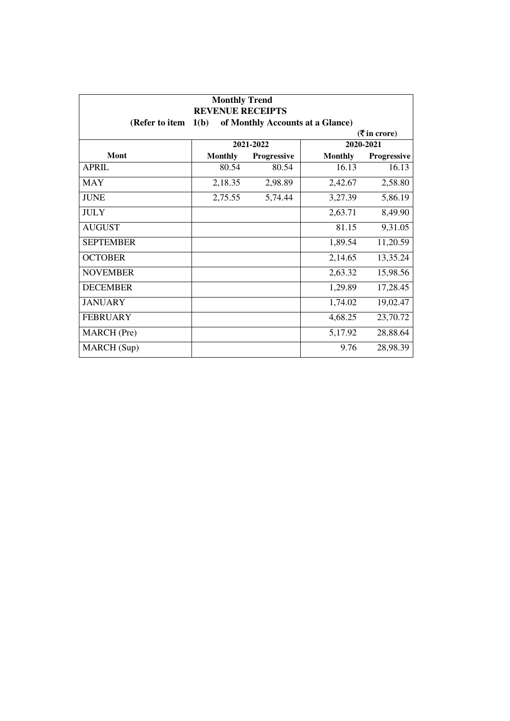| <b>Monthly Trend</b><br><b>REVENUE RECEIPTS</b><br>1(b)<br>of Monthly Accounts at a Glance)<br>(Refer to item |                |             |                |             |
|---------------------------------------------------------------------------------------------------------------|----------------|-------------|----------------|-------------|
| $(5 \text{ in } \text{core})$                                                                                 |                |             |                |             |
|                                                                                                               |                | 2021-2022   |                | 2020-2021   |
| Mont                                                                                                          | <b>Monthly</b> | Progressive | <b>Monthly</b> | Progressive |
| <b>APRIL</b>                                                                                                  | 80.54          | 80.54       | 16.13          | 16.13       |
| <b>MAY</b>                                                                                                    | 2,18.35        | 2,98.89     | 2,42.67        | 2,58.80     |
| <b>JUNE</b>                                                                                                   | 2,75.55        | 5,74.44     | 3,27.39        | 5,86.19     |
| <b>JULY</b>                                                                                                   |                |             | 2,63.71        | 8,49.90     |
| <b>AUGUST</b>                                                                                                 |                |             | 81.15          | 9,31.05     |
| <b>SEPTEMBER</b>                                                                                              |                |             | 1,89.54        | 11,20.59    |
| <b>OCTOBER</b>                                                                                                |                |             | 2,14.65        | 13,35.24    |
| <b>NOVEMBER</b>                                                                                               |                |             | 2,63.32        | 15,98.56    |
| <b>DECEMBER</b>                                                                                               |                |             | 1,29.89        | 17,28.45    |
| <b>JANUARY</b>                                                                                                |                |             | 1,74.02        | 19,02.47    |
| <b>FEBRUARY</b>                                                                                               |                |             | 4,68.25        | 23,70.72    |
| <b>MARCH</b> (Pre)                                                                                            |                |             | 5,17.92        | 28,88.64    |
| MARCH (Sup)                                                                                                   |                |             | 9.76           | 28,98.39    |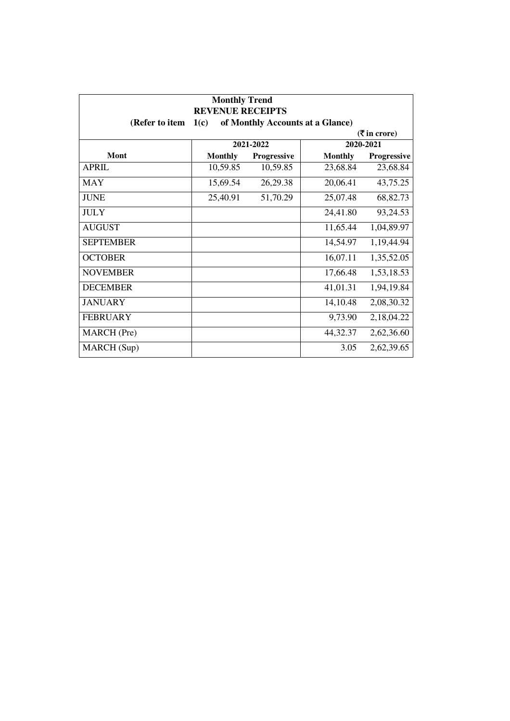| <b>Monthly Trend</b><br><b>REVENUE RECEIPTS</b><br>of Monthly Accounts at a Glance)<br>(Refer to item<br>1(c) |                |             |                |             |  |
|---------------------------------------------------------------------------------------------------------------|----------------|-------------|----------------|-------------|--|
| $(3\overline{5})$ in crore)                                                                                   |                |             |                |             |  |
|                                                                                                               |                | 2021-2022   |                | 2020-2021   |  |
| Mont                                                                                                          | <b>Monthly</b> | Progressive | <b>Monthly</b> | Progressive |  |
| <b>APRIL</b>                                                                                                  | 10,59.85       | 10,59.85    | 23,68.84       | 23,68.84    |  |
| <b>MAY</b>                                                                                                    | 15,69.54       | 26,29.38    | 20,06.41       | 43,75.25    |  |
| <b>JUNE</b>                                                                                                   | 25,40.91       | 51,70.29    | 25,07.48       | 68,82.73    |  |
| <b>JULY</b>                                                                                                   |                |             | 24,41.80       | 93,24.53    |  |
| <b>AUGUST</b>                                                                                                 |                |             | 11,65.44       | 1,04,89.97  |  |
| <b>SEPTEMBER</b>                                                                                              |                |             | 14,54.97       | 1,19,44.94  |  |
| <b>OCTOBER</b>                                                                                                |                |             | 16,07.11       | 1,35,52.05  |  |
| <b>NOVEMBER</b>                                                                                               |                |             | 17,66.48       | 1,53,18.53  |  |
| <b>DECEMBER</b>                                                                                               |                |             | 41,01.31       | 1,94,19.84  |  |
| <b>JANUARY</b>                                                                                                |                |             | 14,10.48       | 2,08,30.32  |  |
| <b>FEBRUARY</b>                                                                                               |                |             | 9,73.90        | 2,18,04.22  |  |
| MARCH (Pre)                                                                                                   |                |             | 44,32.37       | 2,62,36.60  |  |
| MARCH (Sup)                                                                                                   |                |             | 3.05           | 2,62,39.65  |  |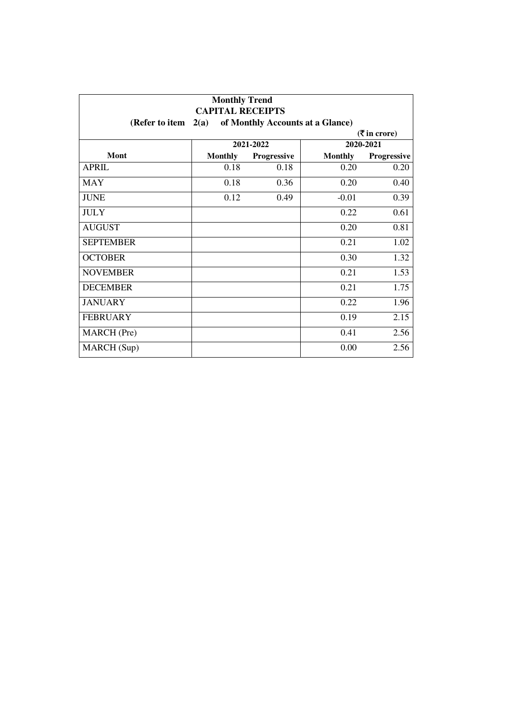| <b>Monthly Trend</b><br><b>CAPITAL RECEIPTS</b>            |                             |             |                |             |  |
|------------------------------------------------------------|-----------------------------|-------------|----------------|-------------|--|
| of Monthly Accounts at a Glance)<br>(Refer to item<br>2(a) |                             |             |                |             |  |
|                                                            | $(3\overline{5})$ in crore) |             |                |             |  |
|                                                            |                             | 2021-2022   |                | 2020-2021   |  |
| Mont                                                       | <b>Monthly</b>              | Progressive | <b>Monthly</b> | Progressive |  |
| <b>APRIL</b>                                               | 0.18                        | 0.18        | 0.20           | 0.20        |  |
| <b>MAY</b>                                                 | 0.18                        | 0.36        | 0.20           | 0.40        |  |
| <b>JUNE</b>                                                | 0.12                        | 0.49        | $-0.01$        | 0.39        |  |
| <b>JULY</b>                                                |                             |             | 0.22           | 0.61        |  |
| <b>AUGUST</b>                                              |                             |             | 0.20           | 0.81        |  |
| <b>SEPTEMBER</b>                                           |                             |             | 0.21           | 1.02        |  |
| <b>OCTOBER</b>                                             |                             |             | 0.30           | 1.32        |  |
| <b>NOVEMBER</b>                                            |                             |             | 0.21           | 1.53        |  |
| <b>DECEMBER</b>                                            |                             |             | 0.21           | 1.75        |  |
| <b>JANUARY</b>                                             |                             |             | 0.22           | 1.96        |  |
| <b>FEBRUARY</b>                                            |                             |             | 0.19           | 2.15        |  |
| MARCH (Pre)                                                |                             |             | 0.41           | 2.56        |  |
| <b>MARCH</b> (Sup)                                         |                             |             | 0.00           | 2.56        |  |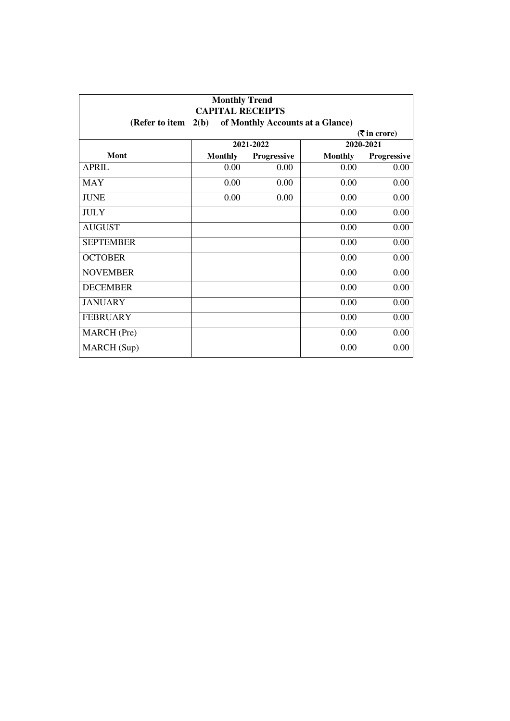| <b>Monthly Trend</b><br><b>CAPITAL RECEIPTS</b> |                                                           |             |                |             |  |  |
|-------------------------------------------------|-----------------------------------------------------------|-------------|----------------|-------------|--|--|
|                                                 | (Refer to item $2(b)$<br>of Monthly Accounts at a Glance) |             |                |             |  |  |
| $(5 \text{ in } \text{core})$                   |                                                           |             |                |             |  |  |
|                                                 |                                                           | 2021-2022   |                | 2020-2021   |  |  |
| Mont                                            | <b>Monthly</b>                                            | Progressive | <b>Monthly</b> | Progressive |  |  |
| <b>APRIL</b>                                    | 0.00                                                      | 0.00        | 0.00           | 0.00        |  |  |
| <b>MAY</b>                                      | 0.00                                                      | 0.00        | 0.00           | 0.00        |  |  |
| <b>JUNE</b>                                     | 0.00                                                      | 0.00        | 0.00           | 0.00        |  |  |
| <b>JULY</b>                                     |                                                           |             | 0.00           | 0.00        |  |  |
| <b>AUGUST</b>                                   |                                                           |             | 0.00           | 0.00        |  |  |
| <b>SEPTEMBER</b>                                |                                                           |             | 0.00           | 0.00        |  |  |
| <b>OCTOBER</b>                                  |                                                           |             | 0.00           | 0.00        |  |  |
| <b>NOVEMBER</b>                                 |                                                           |             | 0.00           | 0.00        |  |  |
| <b>DECEMBER</b>                                 |                                                           |             | 0.00           | 0.00        |  |  |
| <b>JANUARY</b>                                  |                                                           |             | 0.00           | 0.00        |  |  |
| <b>FEBRUARY</b>                                 |                                                           |             | 0.00           | 0.00        |  |  |
| MARCH (Pre)                                     |                                                           |             | 0.00           | 0.00        |  |  |
| MARCH (Sup)                                     |                                                           |             | 0.00           | 0.00        |  |  |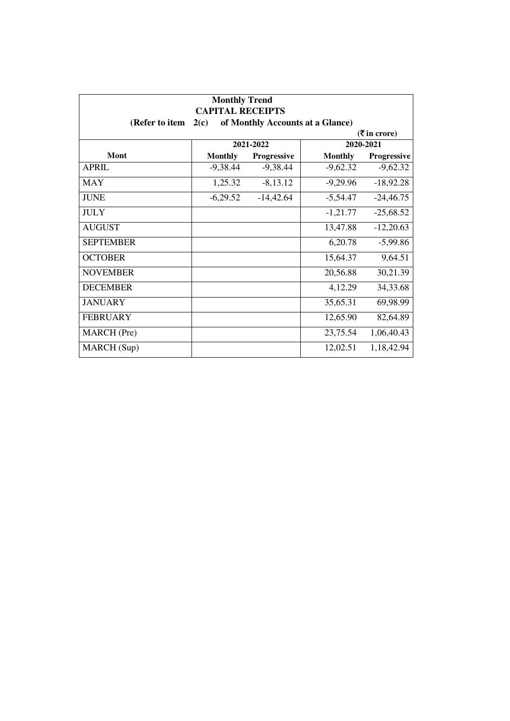| <b>Monthly Trend</b><br><b>CAPITAL RECEIPTS</b><br>of Monthly Accounts at a Glance)<br>(Refer to item<br>2(c) |                |             |                |             |  |
|---------------------------------------------------------------------------------------------------------------|----------------|-------------|----------------|-------------|--|
| $(3\overline{5})$ in crore)                                                                                   |                |             |                |             |  |
|                                                                                                               |                | 2021-2022   |                | 2020-2021   |  |
| Mont                                                                                                          | <b>Monthly</b> | Progressive | <b>Monthly</b> | Progressive |  |
| <b>APRIL</b>                                                                                                  | $-9,38.44$     | $-9,38.44$  | $-9,62.32$     | $-9,62.32$  |  |
| <b>MAY</b>                                                                                                    | 1,25.32        | $-8,13.12$  | $-9,29.96$     | $-18,92.28$ |  |
| <b>JUNE</b>                                                                                                   | $-6,29.52$     | $-14,42.64$ | $-5,54.47$     | $-24,46.75$ |  |
| <b>JULY</b>                                                                                                   |                |             | $-1,21.77$     | $-25,68.52$ |  |
| <b>AUGUST</b>                                                                                                 |                |             | 13,47.88       | $-12,20.63$ |  |
| <b>SEPTEMBER</b>                                                                                              |                |             | 6,20.78        | $-5,99.86$  |  |
| <b>OCTOBER</b>                                                                                                |                |             | 15,64.37       | 9,64.51     |  |
| <b>NOVEMBER</b>                                                                                               |                |             | 20,56.88       | 30,21.39    |  |
| <b>DECEMBER</b>                                                                                               |                |             | 4,12.29        | 34,33.68    |  |
| <b>JANUARY</b>                                                                                                |                |             | 35,65.31       | 69,98.99    |  |
| <b>FEBRUARY</b>                                                                                               |                |             | 12,65.90       | 82,64.89    |  |
| MARCH (Pre)                                                                                                   |                |             | 23,75.54       | 1,06,40.43  |  |
| MARCH (Sup)                                                                                                   |                |             | 12,02.51       | 1,18,42.94  |  |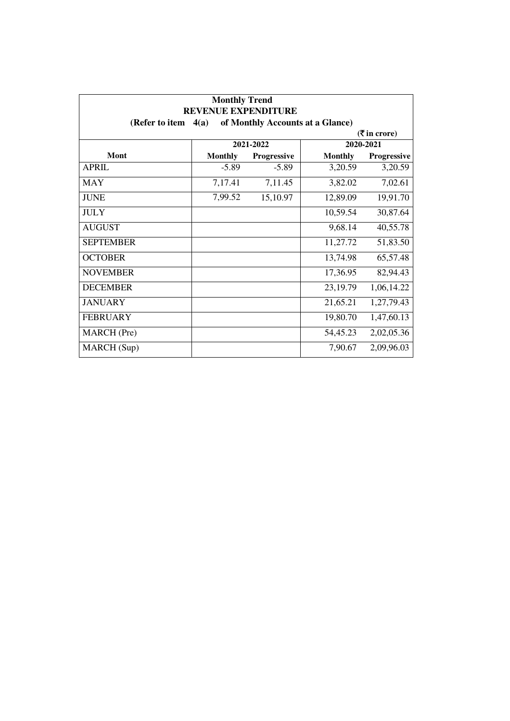| <b>Monthly Trend</b><br><b>REVENUE EXPENDITURE</b> |                |                                  |                |                        |
|----------------------------------------------------|----------------|----------------------------------|----------------|------------------------|
| (Refer to item                                     | 4(a)           | of Monthly Accounts at a Glance) |                |                        |
|                                                    |                |                                  |                | $($ <b>₹</b> in crore) |
|                                                    |                | 2021-2022                        |                | 2020-2021              |
| Mont                                               | <b>Monthly</b> | Progressive                      | <b>Monthly</b> | Progressive            |
| <b>APRIL</b>                                       | $-5.89$        | $-5.89$                          | 3,20.59        | 3,20.59                |
| <b>MAY</b>                                         | 7,17.41        | 7,11.45                          | 3,82.02        | 7,02.61                |
| <b>JUNE</b>                                        | 7,99.52        | 15,10.97                         | 12,89.09       | 19,91.70               |
| <b>JULY</b>                                        |                |                                  | 10,59.54       | 30,87.64               |
| <b>AUGUST</b>                                      |                |                                  | 9,68.14        | 40,55.78               |
| <b>SEPTEMBER</b>                                   |                |                                  | 11,27.72       | 51,83.50               |
| <b>OCTOBER</b>                                     |                |                                  | 13,74.98       | 65,57.48               |
| <b>NOVEMBER</b>                                    |                |                                  | 17,36.95       | 82,94.43               |
| <b>DECEMBER</b>                                    |                |                                  | 23,19.79       | 1,06,14.22             |
| <b>JANUARY</b>                                     |                |                                  | 21,65.21       | 1,27,79.43             |
| <b>FEBRUARY</b>                                    |                |                                  | 19,80.70       | 1,47,60.13             |
| MARCH (Pre)                                        |                |                                  | 54,45.23       | 2,02,05.36             |
| MARCH (Sup)                                        |                |                                  | 7,90.67        | 2,09,96.03             |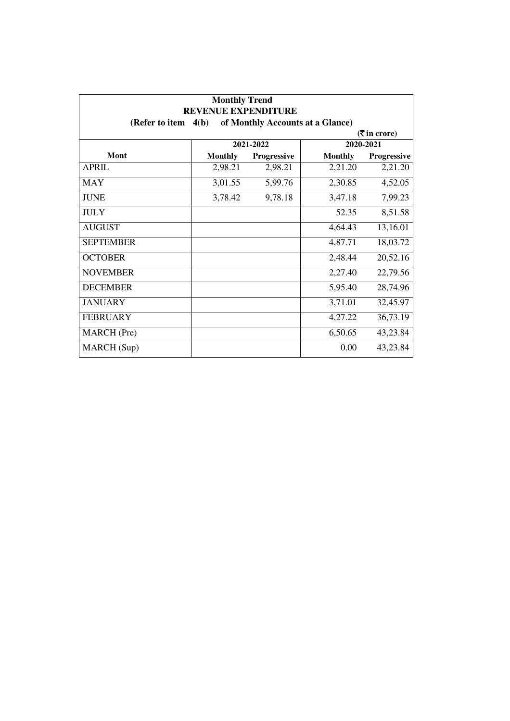| <b>Monthly Trend</b><br><b>REVENUE EXPENDITURE</b> |                |                                  |                |                                               |
|----------------------------------------------------|----------------|----------------------------------|----------------|-----------------------------------------------|
| (Refer to item $4(b)$ )                            |                | of Monthly Accounts at a Glance) |                |                                               |
|                                                    |                |                                  |                | $(\overline{\mathbf{\overline{z}}}$ in crore) |
|                                                    |                | 2021-2022                        |                | 2020-2021                                     |
| Mont                                               | <b>Monthly</b> | <b>Progressive</b>               | <b>Monthly</b> | Progressive                                   |
| <b>APRIL</b>                                       | 2,98.21        | 2,98.21                          | 2,21.20        | 2,21.20                                       |
| <b>MAY</b>                                         | 3,01.55        | 5,99.76                          | 2,30.85        | 4,52.05                                       |
| <b>JUNE</b>                                        | 3,78.42        | 9,78.18                          | 3,47.18        | 7,99.23                                       |
| <b>JULY</b>                                        |                |                                  | 52.35          | 8,51.58                                       |
| <b>AUGUST</b>                                      |                |                                  | 4,64.43        | 13,16.01                                      |
| <b>SEPTEMBER</b>                                   |                |                                  | 4,87.71        | 18,03.72                                      |
| <b>OCTOBER</b>                                     |                |                                  | 2,48.44        | 20,52.16                                      |
| <b>NOVEMBER</b>                                    |                |                                  | 2,27.40        | 22,79.56                                      |
| <b>DECEMBER</b>                                    |                |                                  | 5,95.40        | 28,74.96                                      |
| <b>JANUARY</b>                                     |                |                                  | 3,71.01        | 32,45.97                                      |
| <b>FEBRUARY</b>                                    |                |                                  | 4,27.22        | 36,73.19                                      |
| MARCH (Pre)                                        |                |                                  | 6,50.65        | 43,23.84                                      |
| MARCH (Sup)                                        |                |                                  | 0.00           | 43,23.84                                      |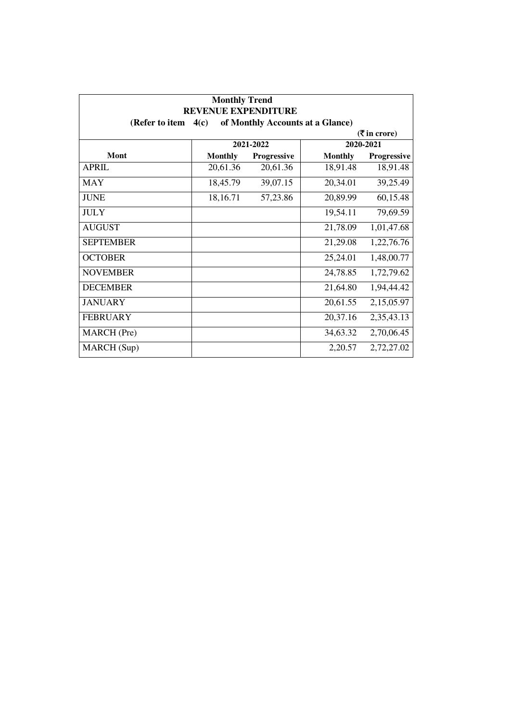| <b>Monthly Trend</b><br><b>REVENUE EXPENDITURE</b> |                |                                  |                |                             |
|----------------------------------------------------|----------------|----------------------------------|----------------|-----------------------------|
| (Refer to item                                     | 4(c)           | of Monthly Accounts at a Glance) |                |                             |
|                                                    |                |                                  |                | $(3\overline{5})$ in crore) |
|                                                    |                | 2021-2022                        | 2020-2021      |                             |
| Mont                                               | <b>Monthly</b> | <b>Progressive</b>               | <b>Monthly</b> | <b>Progressive</b>          |
| <b>APRIL</b>                                       | 20,61.36       | 20,61.36                         | 18,91.48       | 18,91.48                    |
| <b>MAY</b>                                         | 18,45.79       | 39,07.15                         | 20,34.01       | 39,25.49                    |
| <b>JUNE</b>                                        | 18,16.71       | 57,23.86                         | 20,89.99       | 60,15.48                    |
| <b>JULY</b>                                        |                |                                  | 19,54.11       | 79,69.59                    |
| <b>AUGUST</b>                                      |                |                                  | 21,78.09       | 1,01,47.68                  |
| <b>SEPTEMBER</b>                                   |                |                                  | 21,29.08       | 1,22,76.76                  |
| <b>OCTOBER</b>                                     |                |                                  | 25,24.01       | 1,48,00.77                  |
| <b>NOVEMBER</b>                                    |                |                                  | 24,78.85       | 1,72,79.62                  |
| <b>DECEMBER</b>                                    |                |                                  | 21,64.80       | 1,94,44.42                  |
| <b>JANUARY</b>                                     |                |                                  | 20,61.55       | 2,15,05.97                  |
| <b>FEBRUARY</b>                                    |                |                                  | 20,37.16       | 2,35,43.13                  |
| MARCH (Pre)                                        |                |                                  | 34,63.32       | 2,70,06.45                  |
| MARCH (Sup)                                        |                |                                  | 2,20.57        | 2,72,27.02                  |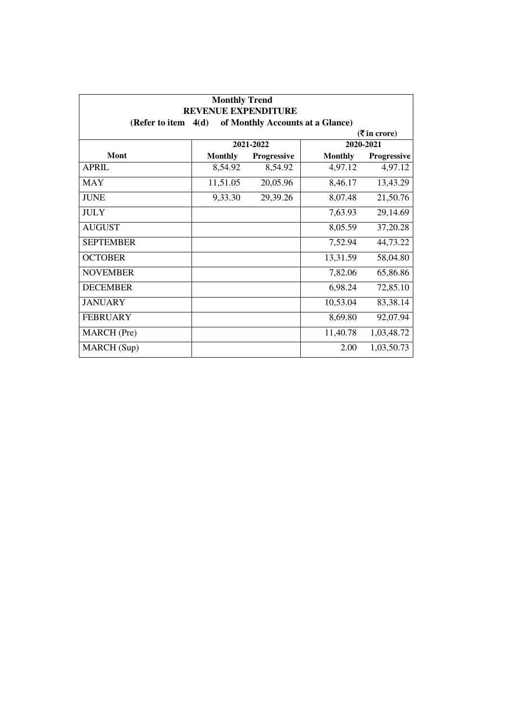| <b>Monthly Trend</b><br><b>REVENUE EXPENDITURE</b> |                |                    |                                  |                                               |
|----------------------------------------------------|----------------|--------------------|----------------------------------|-----------------------------------------------|
| (Refer to item $4(d)$                              |                |                    | of Monthly Accounts at a Glance) |                                               |
|                                                    |                |                    |                                  | $(\overline{\mathbf{\overline{z}}}$ in crore) |
|                                                    |                | 2021-2022          |                                  | 2020-2021                                     |
| Mont                                               | <b>Monthly</b> | <b>Progressive</b> | <b>Monthly</b>                   | <b>Progressive</b>                            |
| <b>APRIL</b>                                       | 8,54.92        | 8,54.92            | 4,97.12                          | 4,97.12                                       |
| <b>MAY</b>                                         | 11,51.05       | 20,05.96           | 8,46.17                          | 13,43.29                                      |
| <b>JUNE</b>                                        | 9,33.30        | 29,39.26           | 8,07.48                          | 21,50.76                                      |
| <b>JULY</b>                                        |                |                    | 7,63.93                          | 29,14.69                                      |
| <b>AUGUST</b>                                      |                |                    | 8,05.59                          | 37,20.28                                      |
| <b>SEPTEMBER</b>                                   |                |                    | 7,52.94                          | 44,73.22                                      |
| <b>OCTOBER</b>                                     |                |                    | 13,31.59                         | 58,04.80                                      |
| <b>NOVEMBER</b>                                    |                |                    | 7,82.06                          | 65,86.86                                      |
| <b>DECEMBER</b>                                    |                |                    | 6,98.24                          | 72,85.10                                      |
| <b>JANUARY</b>                                     |                |                    | 10,53.04                         | 83,38.14                                      |
| <b>FEBRUARY</b>                                    |                |                    | 8,69.80                          | 92,07.94                                      |
| <b>MARCH</b> (Pre)                                 |                |                    | 11,40.78                         | 1,03,48.72                                    |
| MARCH (Sup)                                        |                |                    | 2.00                             | 1,03,50.73                                    |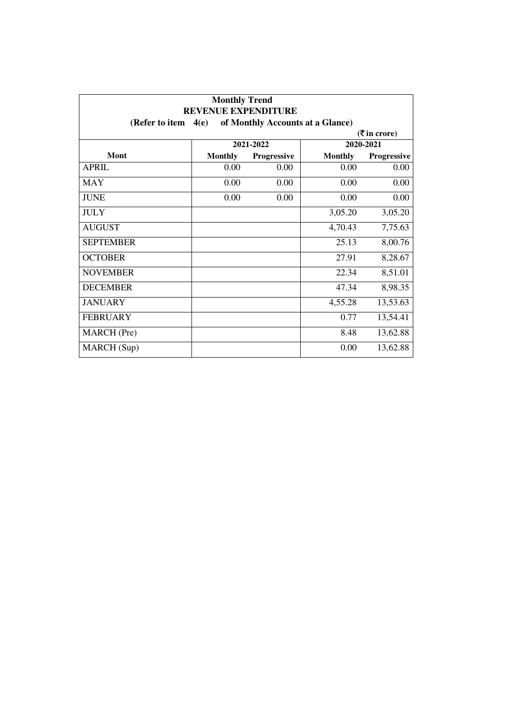| <b>Monthly Trend</b><br><b>REVENUE EXPENDITURE</b> |                |                                  |                |                             |
|----------------------------------------------------|----------------|----------------------------------|----------------|-----------------------------|
| (Refer to item                                     | 4(e)           | of Monthly Accounts at a Glance) |                |                             |
|                                                    |                |                                  |                | $(3\overline{5})$ in crore) |
|                                                    |                | 2021-2022                        |                | 2020-2021                   |
| Mont                                               | <b>Monthly</b> | Progressive                      | <b>Monthly</b> | Progressive                 |
| <b>APRIL</b>                                       | 0.00           | 0.00                             | 0.00           | 0.00                        |
| <b>MAY</b>                                         | 0.00           | 0.00                             | 0.00           | 0.00                        |
| <b>JUNE</b>                                        | 0.00           | 0.00                             | 0.00           | 0.00                        |
| <b>JULY</b>                                        |                |                                  | 3,05.20        | 3,05.20                     |
| <b>AUGUST</b>                                      |                |                                  | 4,70.43        | 7,75.63                     |
| <b>SEPTEMBER</b>                                   |                |                                  | 25.13          | 8,00.76                     |
| <b>OCTOBER</b>                                     |                |                                  | 27.91          | 8,28.67                     |
| <b>NOVEMBER</b>                                    |                |                                  | 22.34          | 8,51.01                     |
| <b>DECEMBER</b>                                    |                |                                  | 47.34          | 8,98.35                     |
| <b>JANUARY</b>                                     |                |                                  | 4,55.28        | 13,53.63                    |
| <b>FEBRUARY</b>                                    |                |                                  | 0.77           | 13,54.41                    |
| <b>MARCH</b> (Pre)                                 |                |                                  | 8.48           | 13,62.88                    |
| MARCH (Sup)                                        |                |                                  | 0.00           | 13,62.88                    |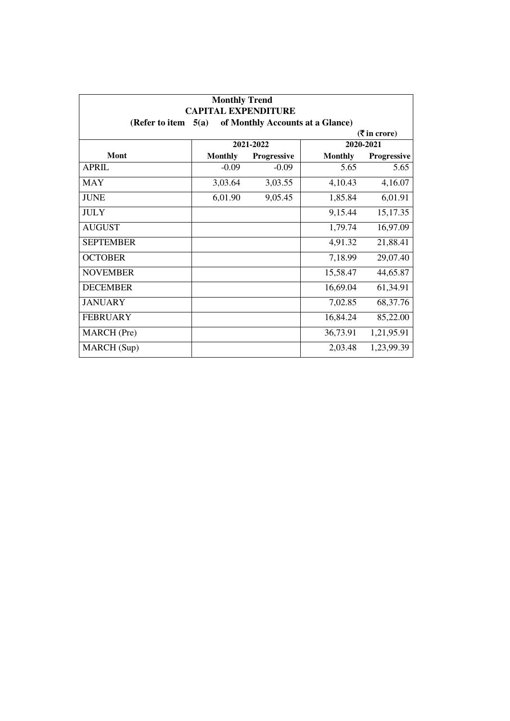| <b>Monthly Trend</b><br><b>CAPITAL EXPENDITURE</b><br>of Monthly Accounts at a Glance)<br>(Refer to item<br>5(a) |                |                    |                |                    |  |  |  |  |
|------------------------------------------------------------------------------------------------------------------|----------------|--------------------|----------------|--------------------|--|--|--|--|
|                                                                                                                  |                |                    |                |                    |  |  |  |  |
|                                                                                                                  | 2021-2022      |                    | 2020-2021      |                    |  |  |  |  |
| <b>Mont</b>                                                                                                      | <b>Monthly</b> | <b>Progressive</b> | <b>Monthly</b> | <b>Progressive</b> |  |  |  |  |
| <b>APRIL</b>                                                                                                     | $-0.09$        | $-0.09$            | 5.65           | 5.65               |  |  |  |  |
| <b>MAY</b>                                                                                                       | 3,03.64        | 3,03.55            | 4,10.43        | 4,16.07            |  |  |  |  |
| <b>JUNE</b>                                                                                                      | 6,01.90        | 9,05.45            | 1,85.84        | 6,01.91            |  |  |  |  |
| <b>JULY</b>                                                                                                      |                |                    | 9,15.44        | 15,17.35           |  |  |  |  |
| <b>AUGUST</b>                                                                                                    |                |                    | 1,79.74        | 16,97.09           |  |  |  |  |
| <b>SEPTEMBER</b>                                                                                                 |                |                    | 4,91.32        | 21,88.41           |  |  |  |  |
| <b>OCTOBER</b>                                                                                                   |                |                    | 7,18.99        | 29,07.40           |  |  |  |  |
| <b>NOVEMBER</b>                                                                                                  |                |                    | 15,58.47       | 44,65.87           |  |  |  |  |
| <b>DECEMBER</b>                                                                                                  |                |                    | 16,69.04       | 61,34.91           |  |  |  |  |
| <b>JANUARY</b>                                                                                                   |                |                    | 7,02.85        | 68, 37. 76         |  |  |  |  |
| <b>FEBRUARY</b>                                                                                                  |                |                    | 16,84.24       | 85,22.00           |  |  |  |  |
| MARCH (Pre)                                                                                                      |                |                    | 36,73.91       | 1,21,95.91         |  |  |  |  |
| MARCH (Sup)                                                                                                      |                |                    | 2,03.48        | 1,23,99.39         |  |  |  |  |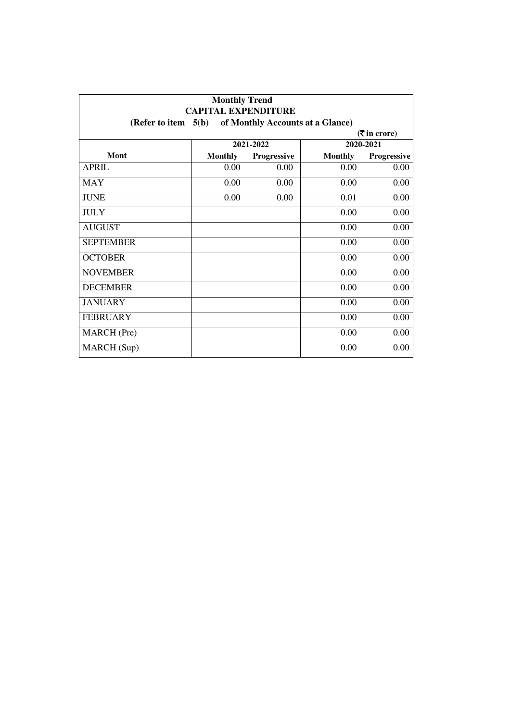| <b>Monthly Trend</b><br><b>CAPITAL EXPENDITURE</b><br>5(b)<br>of Monthly Accounts at a Glance)<br>(Refer to item |                |             |                |             |  |  |  |
|------------------------------------------------------------------------------------------------------------------|----------------|-------------|----------------|-------------|--|--|--|
|                                                                                                                  |                |             |                |             |  |  |  |
|                                                                                                                  | 2021-2022      |             |                | 2020-2021   |  |  |  |
| <b>Mont</b>                                                                                                      | <b>Monthly</b> | Progressive | <b>Monthly</b> | Progressive |  |  |  |
| <b>APRIL</b>                                                                                                     | 0.00           | 0.00        | 0.00           | 0.00        |  |  |  |
| <b>MAY</b>                                                                                                       | 0.00           | 0.00        | 0.00           | 0.00        |  |  |  |
| <b>JUNE</b>                                                                                                      | 0.00           | 0.00        | 0.01           | 0.00        |  |  |  |
| <b>JULY</b>                                                                                                      |                |             | 0.00           | 0.00        |  |  |  |
| <b>AUGUST</b>                                                                                                    |                |             | 0.00           | 0.00        |  |  |  |
| <b>SEPTEMBER</b>                                                                                                 |                |             | 0.00           | 0.00        |  |  |  |
| <b>OCTOBER</b>                                                                                                   |                |             | 0.00           | 0.00        |  |  |  |
| <b>NOVEMBER</b>                                                                                                  |                |             | 0.00           | 0.00        |  |  |  |
| <b>DECEMBER</b>                                                                                                  |                |             | 0.00           | 0.00        |  |  |  |
| <b>JANUARY</b>                                                                                                   |                |             | 0.00           | 0.00        |  |  |  |
| <b>FEBRUARY</b>                                                                                                  |                |             | 0.00           | 0.00        |  |  |  |
| MARCH (Pre)                                                                                                      |                |             | 0.00           | 0.00        |  |  |  |
| <b>MARCH</b> (Sup)                                                                                               |                |             | 0.00           | 0.00        |  |  |  |